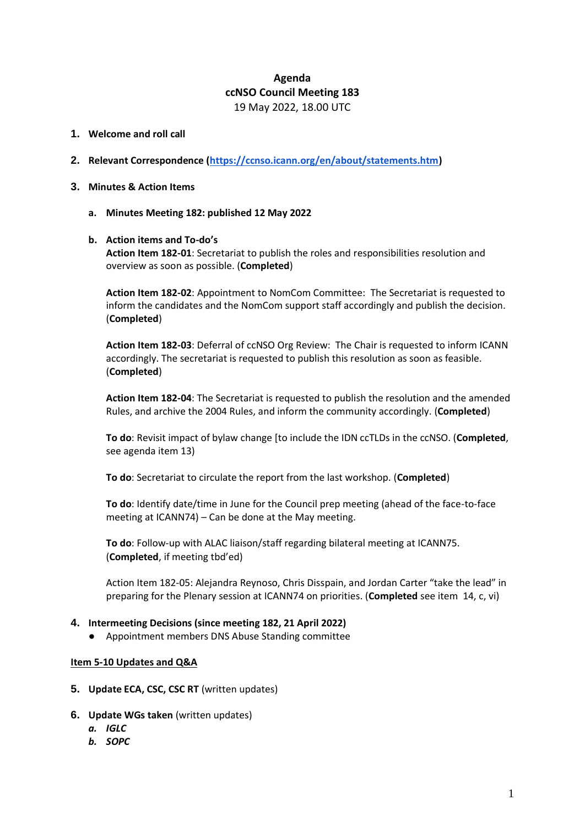# **Agenda ccNSO Council Meeting 183** 19 May 2022, 18.00 UTC

### **1. Welcome and roll call**

- **2. Relevant Correspondence [\(https://ccnso.icann.org/en/about/statements.htm\)](https://ccnso.icann.org/en/about/statements.htm)**
- **3. Minutes & Action Items**
	- **a. Minutes Meeting 182: published 12 May 2022**

### **b. Action items and To-do's**

**Action Item 182-01**: Secretariat to publish the roles and responsibilities resolution and overview as soon as possible. (**Completed**)

**Action Item 182-02**: Appointment to NomCom Committee: The Secretariat is requested to inform the candidates and the NomCom support staff accordingly and publish the decision. (**Completed**)

**Action Item 182-03**: Deferral of ccNSO Org Review: The Chair is requested to inform ICANN accordingly. The secretariat is requested to publish this resolution as soon as feasible. (**Completed**)

**Action Item 182-04**: The Secretariat is requested to publish the resolution and the amended Rules, and archive the 2004 Rules, and inform the community accordingly. (**Completed**)

**To do**: Revisit impact of bylaw change [to include the IDN ccTLDs in the ccNSO. (**Completed**, see agenda item 13)

**To do**: Secretariat to circulate the report from the last workshop. (**Completed**)

**To do**: Identify date/time in June for the Council prep meeting (ahead of the face-to-face meeting at ICANN74) – Can be done at the May meeting.

**To do**: Follow-up with ALAC liaison/staff regarding bilateral meeting at ICANN75. (**Completed**, if meeting tbd'ed)

Action Item 182-05: Alejandra Reynoso, Chris Disspain, and Jordan Carter "take the lead" in preparing for the Plenary session at ICANN74 on priorities. (**Completed** see item 14, c, vi)

### **4. Intermeeting Decisions (since meeting 182, 21 April 2022)**

Appointment members DNS Abuse Standing committee

#### **Item 5-10 Updates and Q&A**

- **5. Update ECA, CSC, CSC RT** (written updates)
- **6. Update WGs taken** (written updates)
	- *a. IGLC*
	- *b. SOPC*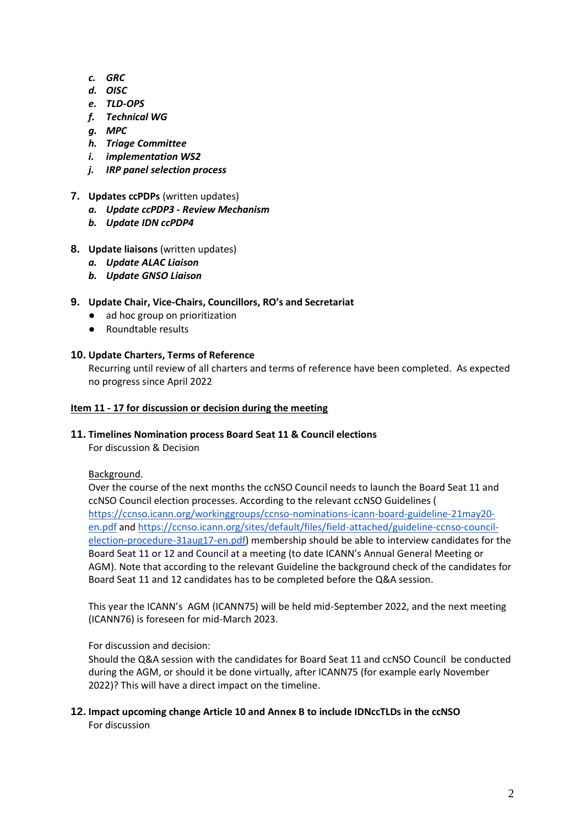- *c. GRC*
- *d. OISC*
- *e. TLD-OPS*
- *f. Technical WG*
- *g. MPC*
- *h. Triage Committee*
- *i. implementation WS2*
- *j. IRP panel selection process*
- **7. Updates ccPDPs** (written updates)
	- *a. Update ccPDP3 - Review Mechanism*
	- *b. Update IDN ccPDP4*
- **8. Update liaisons** (written updates)
	- *a. Update ALAC Liaison*
	- *b. Update GNSO Liaison*
- **9. Update Chair, Vice-Chairs, Councillors, RO's and Secretariat**
	- ad hoc group on prioritization
	- Roundtable results

## **10. Update Charters, Terms of Reference**

Recurring until review of all charters and terms of reference have been completed. As expected no progress since April 2022

### **Item 11 - 17 for discussion or decision during the meeting**

### **11. Timelines Nomination process Board Seat 11 & Council elections**

For discussion & Decision

### Background.

Over the course of the next months the ccNSO Council needs to launch the Board Seat 11 and ccNSO Council election processes. According to the relevant ccNSO Guidelines ( [https://ccnso.icann.org/workinggroups/ccnso-nominations-icann-board-guideline-21may20](https://ccnso.icann.org/workinggroups/ccnso-nominations-icann-board-guideline-21may20-en.pdf) [en.pdf](https://ccnso.icann.org/workinggroups/ccnso-nominations-icann-board-guideline-21may20-en.pdf) an[d https://ccnso.icann.org/sites/default/files/field-attached/guideline-ccnso-council](https://ccnso.icann.org/sites/default/files/field-attached/guideline-ccnso-council-election-procedure-31aug17-en.pdf)[election-procedure-31aug17-en.pdf\)](https://ccnso.icann.org/sites/default/files/field-attached/guideline-ccnso-council-election-procedure-31aug17-en.pdf) membership should be able to interview candidates for the Board Seat 11 or 12 and Council at a meeting (to date ICANN's Annual General Meeting or AGM). Note that according to the relevant Guideline the background check of the candidates for Board Seat 11 and 12 candidates has to be completed before the Q&A session.

This year the ICANN's AGM (ICANN75) will be held mid-September 2022, and the next meeting (ICANN76) is foreseen for mid-March 2023.

## For discussion and decision:

Should the Q&A session with the candidates for Board Seat 11 and ccNSO Council be conducted during the AGM, or should it be done virtually, after ICANN75 (for example early November 2022)? This will have a direct impact on the timeline.

**12. Impact upcoming change Article 10 and Annex B to include IDNccTLDs in the ccNSO** For discussion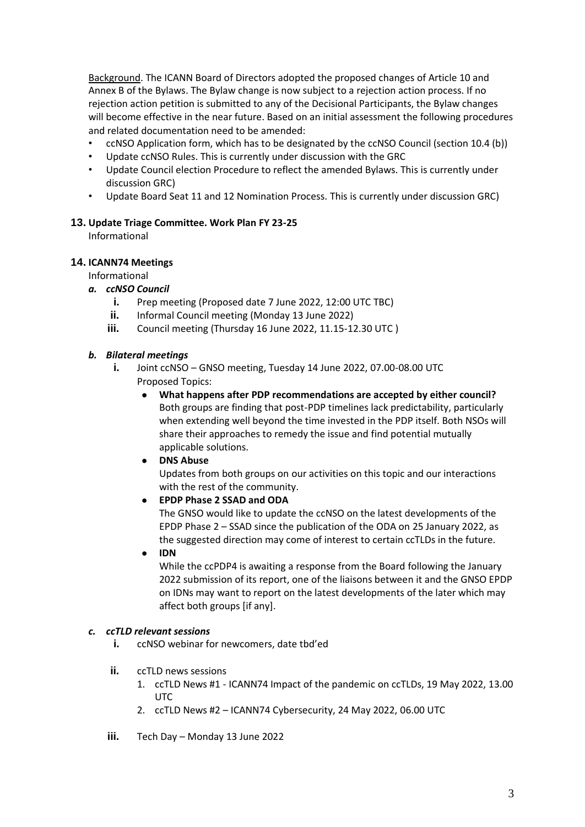Background. The ICANN Board of Directors adopted the proposed changes of Article 10 and Annex B of the Bylaws. The Bylaw change is now subject to a rejection action process. If no rejection action petition is submitted to any of the Decisional Participants, the Bylaw changes will become effective in the near future. Based on an initial assessment the following procedures and related documentation need to be amended:

- ccNSO Application form, which has to be designated by the ccNSO Council (section 10.4 (b))
- Update ccNSO Rules. This is currently under discussion with the GRC
- Update Council election Procedure to reflect the amended Bylaws. This is currently under discussion GRC)
- Update Board Seat 11 and 12 Nomination Process. This is currently under discussion GRC)

### **13. Update Triage Committee. Work Plan FY 23-25**

Informational

## **14. ICANN74 Meetings**

Informational

### *a. ccNSO Council*

- **i.** Prep meeting (Proposed date 7 June 2022, 12:00 UTC TBC)
- **ii.** Informal Council meeting (Monday 13 June 2022)
- **iii.** Council meeting (Thursday 16 June 2022, 11.15-12.30 UTC )

## *b. Bilateral meetings*

**i.** Joint ccNSO – GNSO meeting, Tuesday 14 June 2022, 07.00-08.00 UTC Proposed Topics:

- What happens after PDP recommendations are accepted by either council? Both groups are finding that post-PDP timelines lack predictability, particularly when extending well beyond the time invested in the PDP itself. Both NSOs will share their approaches to remedy the issue and find potential mutually applicable solutions.
- **DNS Abuse** Updates from both groups on our activities on this topic and our interactions with the rest of the community.
- **EPDP Phase 2 SSAD and ODA**

The GNSO would like to update the ccNSO on the latest developments of the EPDP Phase 2 – SSAD since the publication of the ODA on 25 January 2022, as the suggested direction may come of interest to certain ccTLDs in the future.

● **IDN**

While the ccPDP4 is awaiting a response from the Board following the January 2022 submission of its report, one of the liaisons between it and the GNSO EPDP on IDNs may want to report on the latest developments of the later which may affect both groups [if any].

### *c. ccTLD relevant sessions*

- **i.** ccNSO webinar for newcomers, date tbd'ed
- **ii.** ccTLD news sessions
	- 1. ccTLD News #1 ICANN74 Impact of the pandemic on ccTLDs, 19 May 2022, 13.00 UTC
	- 2. ccTLD News #2 ICANN74 Cybersecurity, 24 May 2022, 06.00 UTC
- **iii.** Tech Day Monday 13 June 2022